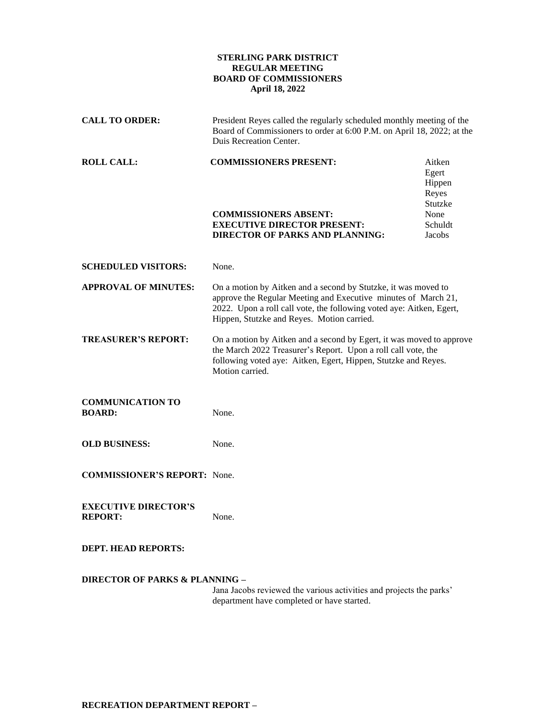## **STERLING PARK DISTRICT REGULAR MEETING BOARD OF COMMISSIONERS April 18, 2022**

| <b>CALL TO ORDER:</b>                         | President Reyes called the regularly scheduled monthly meeting of the<br>Board of Commissioners to order at 6:00 P.M. on April 18, 2022; at the<br>Duis Recreation Center.                                                                             |                                                                            |
|-----------------------------------------------|--------------------------------------------------------------------------------------------------------------------------------------------------------------------------------------------------------------------------------------------------------|----------------------------------------------------------------------------|
| <b>ROLL CALL:</b>                             | <b>COMMISSIONERS PRESENT:</b><br><b>COMMISSIONERS ABSENT:</b><br><b>EXECUTIVE DIRECTOR PRESENT:</b><br><b>DIRECTOR OF PARKS AND PLANNING:</b>                                                                                                          | Aitken<br>Egert<br>Hippen<br>Reyes<br>Stutzke<br>None<br>Schuldt<br>Jacobs |
| <b>SCHEDULED VISITORS:</b>                    | None.                                                                                                                                                                                                                                                  |                                                                            |
| <b>APPROVAL OF MINUTES:</b>                   | On a motion by Aitken and a second by Stutzke, it was moved to<br>approve the Regular Meeting and Executive minutes of March 21,<br>2022. Upon a roll call vote, the following voted aye: Aitken, Egert,<br>Hippen, Stutzke and Reyes. Motion carried. |                                                                            |
| <b>TREASURER'S REPORT:</b>                    | On a motion by Aitken and a second by Egert, it was moved to approve<br>the March 2022 Treasurer's Report. Upon a roll call vote, the<br>following voted aye: Aitken, Egert, Hippen, Stutzke and Reyes.<br>Motion carried.                             |                                                                            |
| <b>COMMUNICATION TO</b><br><b>BOARD:</b>      | None.                                                                                                                                                                                                                                                  |                                                                            |
| <b>OLD BUSINESS:</b>                          | None.                                                                                                                                                                                                                                                  |                                                                            |
| <b>COMMISSIONER'S REPORT:</b> None.           |                                                                                                                                                                                                                                                        |                                                                            |
| <b>EXECUTIVE DIRECTOR'S</b><br><b>REPORT:</b> | None.                                                                                                                                                                                                                                                  |                                                                            |
| <b>DEPT. HEAD REPORTS:</b>                    |                                                                                                                                                                                                                                                        |                                                                            |
| <b>DIRECTOR OF PARKS &amp; PLANNING -</b>     |                                                                                                                                                                                                                                                        |                                                                            |

Jana Jacobs reviewed the various activities and projects the parks' department have completed or have started.